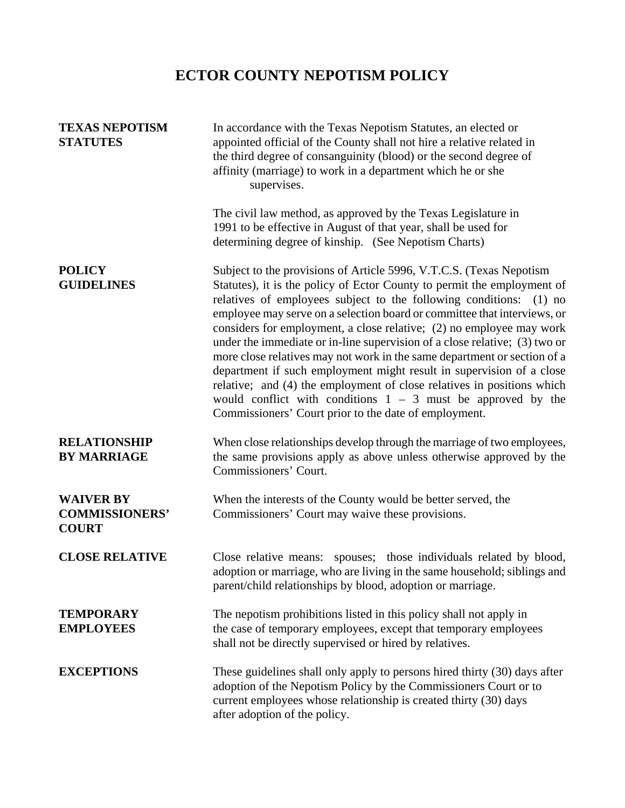## **ECTOR COUNTY NEPOTISM POLICY**

| <b>TEXAS NEPOTISM</b><br><b>STATUTES</b>                  | In accordance with the Texas Nepotism Statutes, an elected or<br>appointed official of the County shall not hire a relative related in<br>the third degree of consanguinity (blood) or the second degree of<br>affinity (marriage) to work in a department which he or she<br>supervises.                                                                                                                                                                                                                                                                                                                                                                                                                                                                                                                       |
|-----------------------------------------------------------|-----------------------------------------------------------------------------------------------------------------------------------------------------------------------------------------------------------------------------------------------------------------------------------------------------------------------------------------------------------------------------------------------------------------------------------------------------------------------------------------------------------------------------------------------------------------------------------------------------------------------------------------------------------------------------------------------------------------------------------------------------------------------------------------------------------------|
|                                                           | The civil law method, as approved by the Texas Legislature in<br>1991 to be effective in August of that year, shall be used for<br>determining degree of kinship. (See Nepotism Charts)                                                                                                                                                                                                                                                                                                                                                                                                                                                                                                                                                                                                                         |
| <b>POLICY</b><br><b>GUIDELINES</b>                        | Subject to the provisions of Article 5996, V.T.C.S. (Texas Nepotism<br>Statutes), it is the policy of Ector County to permit the employment of<br>relatives of employees subject to the following conditions: (1) no<br>employee may serve on a selection board or committee that interviews, or<br>considers for employment, a close relative; (2) no employee may work<br>under the immediate or in-line supervision of a close relative; (3) two or<br>more close relatives may not work in the same department or section of a<br>department if such employment might result in supervision of a close<br>relative; and (4) the employment of close relatives in positions which<br>would conflict with conditions $1 - 3$ must be approved by the<br>Commissioners' Court prior to the date of employment. |
| <b>RELATIONSHIP</b><br><b>BY MARRIAGE</b>                 | When close relationships develop through the marriage of two employees,<br>the same provisions apply as above unless otherwise approved by the<br>Commissioners' Court.                                                                                                                                                                                                                                                                                                                                                                                                                                                                                                                                                                                                                                         |
| <b>WAIVER BY</b><br><b>COMMISSIONERS'</b><br><b>COURT</b> | When the interests of the County would be better served, the<br>Commissioners' Court may waive these provisions.                                                                                                                                                                                                                                                                                                                                                                                                                                                                                                                                                                                                                                                                                                |
| <b>CLOSE RELATIVE</b>                                     | Close relative means: spouses; those individuals related by blood,<br>adoption or marriage, who are living in the same household; siblings and<br>parent/child relationships by blood, adoption or marriage.                                                                                                                                                                                                                                                                                                                                                                                                                                                                                                                                                                                                    |
| <b>TEMPORARY</b><br><b>EMPLOYEES</b>                      | The nepotism prohibitions listed in this policy shall not apply in<br>the case of temporary employees, except that temporary employees<br>shall not be directly supervised or hired by relatives.                                                                                                                                                                                                                                                                                                                                                                                                                                                                                                                                                                                                               |
| <b>EXCEPTIONS</b>                                         | These guidelines shall only apply to persons hired thirty (30) days after<br>adoption of the Nepotism Policy by the Commissioners Court or to<br>current employees whose relationship is created thirty (30) days<br>after adoption of the policy.                                                                                                                                                                                                                                                                                                                                                                                                                                                                                                                                                              |